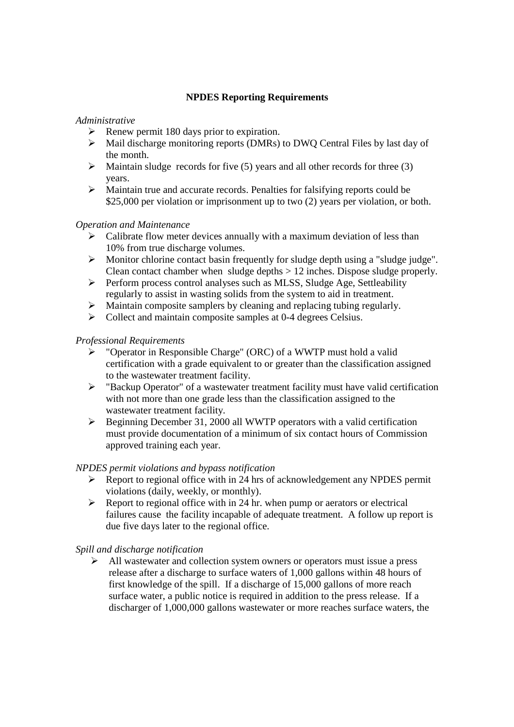# **NPDES Reporting Requirements**

# *Administrative*

- $\triangleright$  Renew permit 180 days prior to expiration.
- $\triangleright$  Mail discharge monitoring reports (DMRs) to DWO Central Files by last day of the month.
- $\triangleright$  Maintain sludge records for five (5) years and all other records for three (3) years.
- > Maintain true and accurate records. Penalties for falsifying reports could be \$25,000 per violation or imprisonment up to two (2) years per violation, or both.

# *Operation and Maintenance*

- $\triangleright$  Calibrate flow meter devices annually with a maximum deviation of less than 10% from true discharge volumes.
- $\triangleright$  Monitor chlorine contact basin frequently for sludge depth using a "sludge judge". Clean contact chamber when sludge depths > 12 inches. Dispose sludge properly.
- Perform process control analyses such as MLSS, Sludge Age, Settleability regularly to assist in wasting solids from the system to aid in treatment.
- Maintain composite samplers by cleaning and replacing tubing regularly.
- $\triangleright$  Collect and maintain composite samples at 0-4 degrees Celsius.

# *Professional Requirements*

- "Operator in Responsible Charge" (ORC) of a WWTP must hold a valid certification with a grade equivalent to or greater than the classification assigned to the wastewater treatment facility.
- $\triangleright$  "Backup Operator" of a wastewater treatment facility must have valid certification with not more than one grade less than the classification assigned to the wastewater treatment facility.
- Beginning December 31, 2000 all WWTP operators with a valid certification must provide documentation of a minimum of six contact hours of Commission approved training each year.

## *NPDES permit violations and bypass notification*

- $\triangleright$  Report to regional office with in 24 hrs of acknowledgement any NPDES permit violations (daily, weekly, or monthly).
- $\triangleright$  Report to regional office with in 24 hr. when pump or aerators or electrical failures cause the facility incapable of adequate treatment. A follow up report is due five days later to the regional office.

*Spill and discharge notification* 

 $\triangleright$  All wastewater and collection system owners or operators must issue a press release after a discharge to surface waters of 1,000 gallons within 48 hours of first knowledge of the spill. If a discharge of 15,000 gallons of more reach surface water, a public notice is required in addition to the press release. If a discharger of 1,000,000 gallons wastewater or more reaches surface waters, the